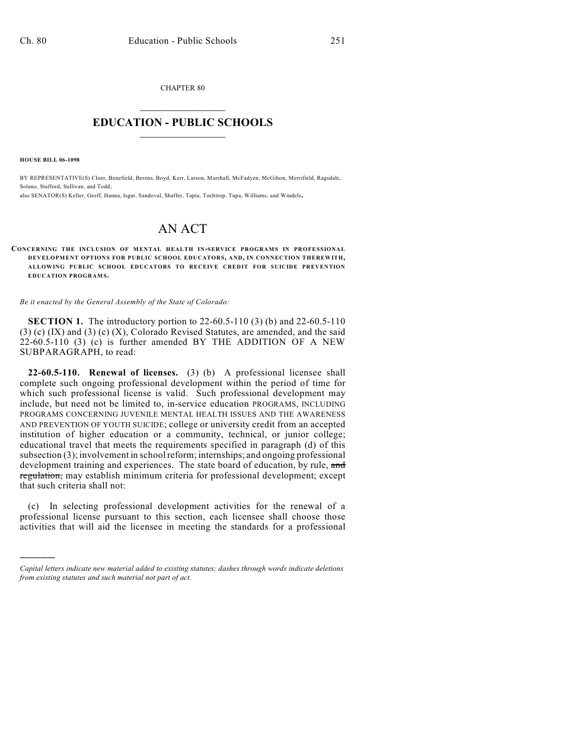CHAPTER 80  $\mathcal{L}_\text{max}$  . The set of the set of the set of the set of the set of the set of the set of the set of the set of the set of the set of the set of the set of the set of the set of the set of the set of the set of the set

## **EDUCATION - PUBLIC SCHOOLS**  $\_$   $\_$   $\_$   $\_$   $\_$   $\_$   $\_$   $\_$   $\_$

**HOUSE BILL 06-1098**

)))))

BY REPRESENTATIVE(S) Cloer, Benefield, Berens, Boyd, Kerr, Larson, Marshall, McFadyen, McGihon, Merrifield, Ragsdale, Solano, Stafford, Sullivan, and Todd;

also SENATOR(S) Keller, Groff, Hanna, Isgar, Sandoval, Shaffer, Tapia, Tochtrop, Tupa, Williams, and Windels.

## AN ACT

**CONCERNING THE INCLUSION OF MENTAL HEALTH IN-SERVICE PROGRAMS IN PROFESSIONAL DEVELOPMENT OPTIONS FOR PUBLIC SCHOOL EDUCATORS, AND, IN CONNECTION THEREWITH, ALLOWING PUBLIC SCHOOL EDUCATORS TO RECEIVE CREDIT FOR SUICIDE PREVENTION EDUCATION PROGRAMS.** 

*Be it enacted by the General Assembly of the State of Colorado:*

**SECTION 1.** The introductory portion to 22-60.5-110 (3) (b) and 22-60.5-110 (3) (c) (IX) and (3) (c) (X), Colorado Revised Statutes, are amended, and the said 22-60.5-110 (3) (c) is further amended BY THE ADDITION OF A NEW SUBPARAGRAPH, to read:

**22-60.5-110. Renewal of licenses.** (3) (b) A professional licensee shall complete such ongoing professional development within the period of time for which such professional license is valid. Such professional development may include, but need not be limited to, in-service education PROGRAMS, INCLUDING PROGRAMS CONCERNING JUVENILE MENTAL HEALTH ISSUES AND THE AWARENESS AND PREVENTION OF YOUTH SUICIDE; college or university credit from an accepted institution of higher education or a community, technical, or junior college; educational travel that meets the requirements specified in paragraph (d) of this subsection (3); involvement in school reform; internships; and ongoing professional development training and experiences. The state board of education, by rule, and regulation, may establish minimum criteria for professional development; except that such criteria shall not:

(c) In selecting professional development activities for the renewal of a professional license pursuant to this section, each licensee shall choose those activities that will aid the licensee in meeting the standards for a professional

*Capital letters indicate new material added to existing statutes; dashes through words indicate deletions from existing statutes and such material not part of act.*